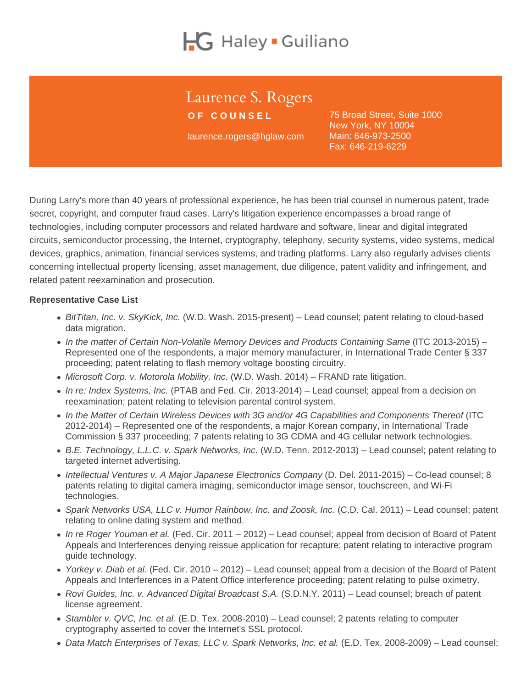# Laurence S. Rogers

OF COUNSEL

laurence.rogers@hglaw.com

75 Broad Street, Suite 1000 New York, NY 10004 Main: [646-973-2500](tel:+1-646-973-2500) Fax: 646-219-6229

During Larry's more than 40 years of professional experience, he has been trial counsel in numerous patent, trade secret, copyright, and computer fraud cases. Larry's litigation experience encompasses a broad range of technologies, including computer processors and related hardware and software, linear and digital integrated circuits, semiconductor processing, the Internet, cryptography, telephony, security systems, video systems, medical devices, graphics, animation, financial services systems, and trading platforms. Larry also regularly advises clients concerning intellectual property licensing, asset management, due diligence, patent validity and infringement, and related patent reexamination and prosecution.

Representative Case List

- BitTitan, Inc. v. SkyKick, Inc. (W.D. Wash. 2015-present) Lead counsel; patent relating to cloud-based data migration.
- In the matter of Certain Non-Volatile Memory Devices and Products Containing Same (ITC 2013-2015) Represented one of the respondents, a major memory manufacturer, in International Trade Center § 337 proceeding; patent relating to flash memory voltage boosting circuitry.
- $\bullet$  Microsoft Corp. v. Motorola Mobility, Inc. (W.D. Wash. 2014) FRAND rate litigation.
- In re: Index Systems, Inc. (PTAB and Fed. Cir. 2013-2014) Lead counsel; appeal from a decision on reexamination; patent relating to television parental control system.
- In the Matter of Certain Wireless Devices with 3G and/or 4G Capabilities and Components Thereof (ITC 2012-2014) – Represented one of the respondents, a major Korean company, in International Trade Commission § 337 proceeding; 7 patents relating to 3G CDMA and 4G cellular network technologies.
- B.E. Technology, L.L.C. v. Spark Networks, Inc. (W.D. Tenn. 2012-2013) Lead counsel; patent relating to targeted internet advertising.
- Intellectual Ventures v. A Major Japanese Electronics Company (D. Del. 2011-2015) Co-lead counsel; 8 patents relating to digital camera imaging, semiconductor image sensor, touchscreen, and Wi-Fi technologies.
- Spark Networks USA, LLC v. Humor Rainbow, Inc. and Zoosk, Inc. (C.D. Cal. 2011) Lead counsel; patent relating to online dating system and method.
- In re Roger Youman et al. (Fed. Cir. 2011 2012) Lead counsel; appeal from decision of Board of Patent Appeals and Interferences denying reissue application for recapture; patent relating to interactive program guide technology.
- Yorkey v. Diab et al. (Fed. Cir. 2010 2012) Lead counsel; appeal from a decision of the Board of Patent Appeals and Interferences in a Patent Office interference proceeding; patent relating to pulse oximetry.
- Rovi Guides, Inc. v. Advanced Digital Broadcast S.A. (S.D.N.Y. 2011) Lead counsel; breach of patent license agreement.
- Stambler v. QVC, Inc. et al. (E.D. Tex. 2008-2010) Lead counsel; 2 patents relating to computer cryptography asserted to cover the Internet's SSL protocol.
- Data Match Enterprises of Texas, LLC v. Spark Networks, Inc. et al. (E.D. Tex. 2008-2009) Lead counsel;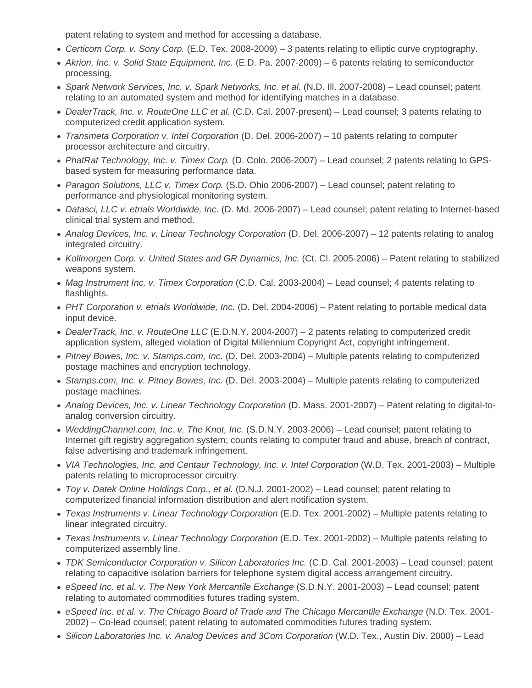patent relating to system and method for accessing a database.

- Certicom Corp. v. Sony Corp. (E.D. Tex. 2008-2009) 3 patents relating to elliptic curve cryptography.
- Akrion, Inc. v. Solid State Equipment, Inc. (E.D. Pa. 2007-2009) 6 patents relating to semiconductor processing.
- Spark Network Services, Inc. v. Spark Networks, Inc. et al. (N.D. III. 2007-2008) Lead counsel: patent relating to an automated system and method for identifying matches in a database.
- DealerTrack, Inc. v. RouteOne LLC et al. (C.D. Cal. 2007-present) Lead counsel; 3 patents relating to computerized credit application system.
- Transmeta Corporation v. Intel Corporation (D. Del. 2006-2007) 10 patents relating to computer processor architecture and circuitry.
- PhatRat Technology, Inc. v. Timex Corp. (D. Colo. 2006-2007) Lead counsel; 2 patents relating to GPSbased system for measuring performance data.
- Paragon Solutions, LLC v. Timex Corp. (S.D. Ohio 2006-2007) Lead counsel; patent relating to performance and physiological monitoring system.
- Datasci, LLC v. etrials Worldwide, Inc. (D. Md. 2006-2007) Lead counsel; patent relating to Internet-based clinical trial system and method.
- Analog Devices, Inc. v. Linear Technology Corporation (D. Del. 2006-2007) 12 patents relating to analog integrated circuitry.
- Kollmorgen Corp. v. United States and GR Dynamics, Inc. (Ct. Cl. 2005-2006) Patent relating to stabilized weapons system.
- Mag Instrument Inc. v. Timex Corporation (C.D. Cal. 2003-2004) Lead counsel; 4 patents relating to flashlights.
- PHT Corporation v. etrials Worldwide, Inc. (D. Del. 2004-2006) Patent relating to portable medical data input device.
- DealerTrack, Inc. v. RouteOne LLC (E.D.N.Y. 2004-2007) 2 patents relating to computerized credit application system, alleged violation of Digital Millennium Copyright Act, copyright infringement.
- Pitney Bowes, Inc. v. Stamps.com, Inc. (D. Del. 2003-2004) Multiple patents relating to computerized postage machines and encryption technology.
- Stamps.com, Inc. v. Pitney Bowes, Inc. (D. Del. 2003-2004) Multiple patents relating to computerized postage machines.
- Analog Devices, Inc. v. Linear Technology Corporation (D. Mass. 2001-2007) Patent relating to digital-toanalog conversion circuitry.
- WeddingChannel.com, Inc. v. The Knot, Inc. (S.D.N.Y. 2003-2006) Lead counsel; patent relating to Internet gift registry aggregation system; counts relating to computer fraud and abuse, breach of contract, false advertising and trademark infringement.
- VIA Technologies, Inc. and Centaur Technology, Inc. v. Intel Corporation (W.D. Tex. 2001-2003) Multiple patents relating to microprocessor circuitry.
- Toy v. Datek Online Holdings Corp., et al. (D.N.J. 2001-2002) Lead counsel; patent relating to computerized financial information distribution and alert notification system.
- Texas Instruments v. Linear Technology Corporation (E.D. Tex. 2001-2002) Multiple patents relating to linear integrated circuitry.
- Texas Instruments v. Linear Technology Corporation (E.D. Tex. 2001-2002) Multiple patents relating to computerized assembly line.
- TDK Semiconductor Corporation v. Silicon Laboratories Inc. (C.D. Cal. 2001-2003) Lead counsel; patent relating to capacitive isolation barriers for telephone system digital access arrangement circuitry.
- eSpeed Inc. et al. v. The New York Mercantile Exchange (S.D.N.Y. 2001-2003) Lead counsel; patent relating to automated commodities futures trading system.
- eSpeed Inc. et al. v. The Chicago Board of Trade and The Chicago Mercantile Exchange (N.D. Tex. 2001-2002) – Co-lead counsel; patent relating to automated commodities futures trading system.
- Silicon Laboratories Inc. v. Analog Devices and 3Com Corporation (W.D. Tex., Austin Div. 2000) Lead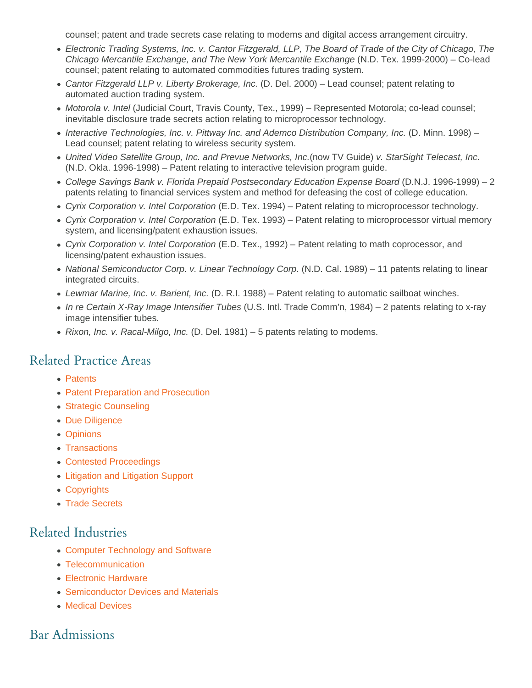counsel; patent and trade secrets case relating to modems and digital access arrangement circuitry.

- Electronic Trading Systems, Inc. v. Cantor Fitzgerald, LLP, The Board of Trade of the City of Chicago, The Chicago Mercantile Exchange, and The New York Mercantile Exchange (N.D. Tex. 1999-2000) – Co-lead counsel; patent relating to automated commodities futures trading system.
- Cantor Fitzgerald LLP v. Liberty Brokerage, Inc. (D. Del. 2000) Lead counsel; patent relating to automated auction trading system.
- Motorola v. Intel (Judicial Court, Travis County, Tex., 1999) Represented Motorola; co-lead counsel; inevitable disclosure trade secrets action relating to microprocessor technology.
- Interactive Technologies, Inc. v. Pittway Inc. and Ademco Distribution Company, Inc. (D. Minn. 1998) Lead counsel; patent relating to wireless security system.
- United Video Satellite Group, Inc. and Prevue Networks, Inc.(now TV Guide) v. StarSight Telecast, Inc. (N.D. Okla. 1996-1998) – Patent relating to interactive television program guide.
- College Savings Bank v. Florida Prepaid Postsecondary Education Expense Board (D.N.J. 1996-1999) 2 patents relating to financial services system and method for defeasing the cost of college education.
- Cyrix Corporation v. Intel Corporation (E.D. Tex. 1994) Patent relating to microprocessor technology.
- Cyrix Corporation v. Intel Corporation (E.D. Tex. 1993) Patent relating to microprocessor virtual memory system, and licensing/patent exhaustion issues.
- Cyrix Corporation v. Intel Corporation (E.D. Tex., 1992) Patent relating to math coprocessor, and licensing/patent exhaustion issues.
- National Semiconductor Corp. v. Linear Technology Corp. (N.D. Cal. 1989) 11 patents relating to linear integrated circuits.
- Lewmar Marine, Inc. v. Barient, Inc. (D. R.I. 1988) Patent relating to automatic sailboat winches.
- In re Certain X-Ray Image Intensifier Tubes (U.S. Intl. Trade Comm'n, 1984) 2 patents relating to x-ray image intensifier tubes.
- Rixon, Inc. v. Racal-Milgo, Inc. (D. Del. 1981) 5 patents relating to modems.

#### Related Practice Areas

- [Patents](https://www.hglaw.com/practice-areas/patents/)
- [Patent Preparation and Prosecution](https://www.hglaw.com/practice-areas/patents/patent-preparation-prosecution/)
- [Strategic Counseling](https://www.hglaw.com/practice-areas/strategic-counseling/)
- [Due Diligence](https://www.hglaw.com/practice-areas/strategic-counseling/due-diligence/)
- [Opinions](https://www.hglaw.com/practice-areas/strategic-counseling/opinions/)
- [Transactions](https://www.hglaw.com/practice-areas/strategic-counseling/transactions/)
- [Contested Proceedings](https://www.hglaw.com/practice-areas/contested-proceedings/)
- [Litigation and Litigation Support](https://www.hglaw.com/practice-areas/contested-proceedings/litigation-support/)
- [Copyrights](https://www.hglaw.com/practice-areas/copyrights/)
- [Trade Secrets](https://www.hglaw.com/practice-areas/trade-secrets/)

#### Related Industries

- [Computer Technology and Software](https://www.hglaw.com/industries/computer-technology-software/)
- [Telecommunication](https://www.hglaw.com/industries/telecommunications/)
- [Electronic Hardware](https://www.hglaw.com/industries/electronic-hardware/)
- [Semiconductor Devices and Materials](https://www.hglaw.com/industries/semiconductors-devices-materials/)
- [Medical Devices](https://www.hglaw.com/industries/medical-devices/)

## Bar Admissions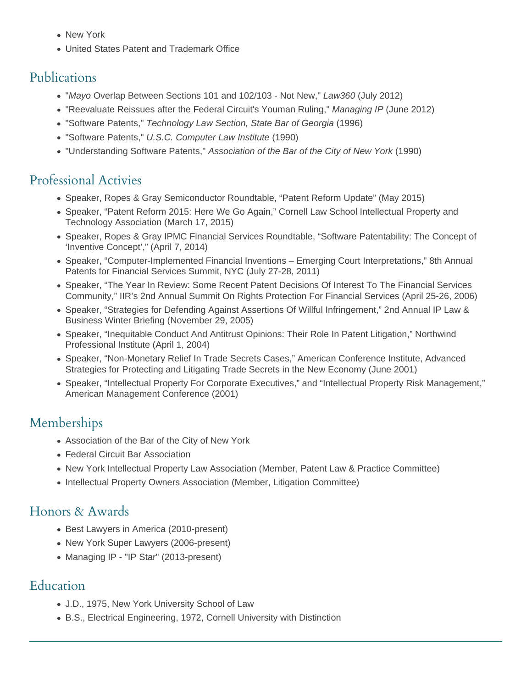- New York
- United States Patent and Trademark Office

#### Publications

- "Mayo Overlap Between Sections 101 and 102/103 Not New," Law360 (July 2012)
- "Reevaluate Reissues after the Federal Circuit's Youman Ruling," Managing IP (June 2012)
- "Software Patents," Technology Law Section, State Bar of Georgia (1996)
- "Software Patents," U.S.C. Computer Law Institute (1990)
- "Understanding Software Patents," Association of the Bar of the City of New York (1990)

# Professional Activies

- Speaker, Ropes & Gray Semiconductor Roundtable, "Patent Reform Update" (May 2015)
- Speaker, "Patent Reform 2015: Here We Go Again," Cornell Law School Intellectual Property and Technology Association (March 17, 2015)
- Speaker, Ropes & Gray IPMC Financial Services Roundtable, "Software Patentability: The Concept of 'Inventive Concept'," (April 7, 2014)
- Speaker, "Computer-Implemented Financial Inventions Emerging Court Interpretations," 8th Annual Patents for Financial Services Summit, NYC (July 27-28, 2011)
- Speaker, "The Year In Review: Some Recent Patent Decisions Of Interest To The Financial Services Community," IIR's 2nd Annual Summit On Rights Protection For Financial Services (April 25-26, 2006)
- Speaker, "Strategies for Defending Against Assertions Of Willful Infringement," 2nd Annual IP Law & Business Winter Briefing (November 29, 2005)
- Speaker, "Inequitable Conduct And Antitrust Opinions: Their Role In Patent Litigation," Northwind Professional Institute (April 1, 2004)
- Speaker, "Non-Monetary Relief In Trade Secrets Cases," American Conference Institute, Advanced Strategies for Protecting and Litigating Trade Secrets in the New Economy (June 2001)
- Speaker, "Intellectual Property For Corporate Executives," and "Intellectual Property Risk Management," American Management Conference (2001)

# Memberships

- Association of the Bar of the City of New York
- Federal Circuit Bar Association
- New York Intellectual Property Law Association (Member, Patent Law & Practice Committee)
- Intellectual Property Owners Association (Member, Litigation Committee)

## Honors & Awards

- Best Lawyers in America (2010-present)
- New York Super Lawyers (2006-present)
- Managing IP "IP Star" (2013-present)

## Education

- J.D., 1975, New York University School of Law
- B.S., Electrical Engineering, 1972, Cornell University with Distinction